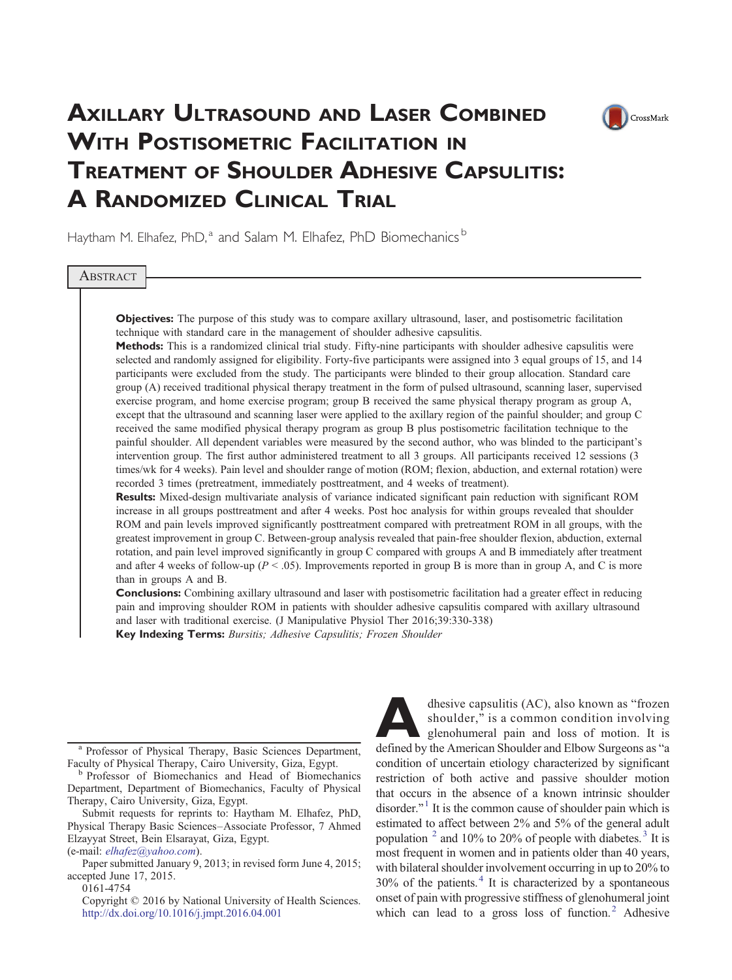

# AXILLARY ULTRASOUND AND LASER COMBINED WITH POSTISOMETRIC FACILITATION IN TREATMENT OF SHOULDER ADHESIVE CAPSULITIS: A RANDOMIZED CLINICAL TRIAL

Haytham M. Elhafez, PhD,<sup>a</sup> and Salam M. Elhafez, PhD Biomechanics<sup>b</sup>

**ABSTRACT** 

Objectives: The purpose of this study was to compare axillary ultrasound, laser, and postisometric facilitation technique with standard care in the management of shoulder adhesive capsulitis.

Methods: This is a randomized clinical trial study. Fifty-nine participants with shoulder adhesive capsulitis were selected and randomly assigned for eligibility. Forty-five participants were assigned into 3 equal groups of 15, and 14 participants were excluded from the study. The participants were blinded to their group allocation. Standard care group (A) received traditional physical therapy treatment in the form of pulsed ultrasound, scanning laser, supervised exercise program, and home exercise program; group B received the same physical therapy program as group A, except that the ultrasound and scanning laser were applied to the axillary region of the painful shoulder; and group C received the same modified physical therapy program as group B plus postisometric facilitation technique to the painful shoulder. All dependent variables were measured by the second author, who was blinded to the participant's intervention group. The first author administered treatment to all 3 groups. All participants received 12 sessions (3 times/wk for 4 weeks). Pain level and shoulder range of motion (ROM; flexion, abduction, and external rotation) were recorded 3 times (pretreatment, immediately posttreatment, and 4 weeks of treatment).

Results: Mixed-design multivariate analysis of variance indicated significant pain reduction with significant ROM increase in all groups posttreatment and after 4 weeks. Post hoc analysis for within groups revealed that shoulder ROM and pain levels improved significantly posttreatment compared with pretreatment ROM in all groups, with the greatest improvement in group C. Between-group analysis revealed that pain-free shoulder flexion, abduction, external rotation, and pain level improved significantly in group C compared with groups A and B immediately after treatment and after 4 weeks of follow-up ( $P < .05$ ). Improvements reported in group B is more than in group A, and C is more than in groups A and B.

**Conclusions:** Combining axillary ultrasound and laser with postisometric facilitation had a greater effect in reducing pain and improving shoulder ROM in patients with shoulder adhesive capsulitis compared with axillary ultrasound and laser with traditional exercise. (J Manipulative Physiol Ther 2016;39:330-338)

Key Indexing Terms: Bursitis; Adhesive Capsulitis; Frozen Shoulder

<sup>a</sup> Professor of Physical Therapy, Basic Sciences Department,

Faculty of Physical Therapy, Cairo University, Giza, Egypt.<br>b Professor of Biomechanics and Head of Biomechanics Department, Department of Biomechanics, Faculty of Physical Therapy, Cairo University, Giza, Egypt.

Submit requests for reprints to: Haytham M. Elhafez, PhD, Physical Therapy Basic Sciences–Associate Professor, 7 Ahmed Elzayyat Street, Bein Elsarayat, Giza, Egypt.

(e-mail: [elhafez@yahoo.com](mailto:elhafez@yahoo.com)).

0161-4754

Copyright © 2016 by National University of Health Sciences. <http://dx.doi.org/10.1016/j.jmpt.2016.04.001>

dhesive capsulitis (AC), also known as "frozen shoulder," is a common condition involving glenohumeral pain and loss of motion. It is defined by the American Shoulder and Elbow Surgeons as "a shoulder," is a common condition involving glenohumeral pain and loss of motion. It is defined by the American Shoulder and Elbow Surgeons as "a condition of uncertain etiology characterized by significant restriction of both active and passive shoulder motion that occurs in the absence of a known intrinsic shoulder disorder.["](#page-7-0)<sup>[1](#page-7-0)</sup> It is the common cause of shoulder pain which is estimated to affect between 2% and 5% of the general adult population  $^2$  $^2$  and 10% to 20% of people with diabetes[.](#page-7-0)<sup>[3](#page-7-0)</sup> It is most frequent in women and in patients older than 40 years, with bilateral shoulder involvement occurring in up to 20% to  $30\%$  of the patients[.](#page-7-0)<sup>[4](#page-7-0)</sup> It is characterized by a spontaneous onset of pain with progressive stiffness of glenohumeral joint which can lead to a gross loss of function[.](#page-7-0)<sup>[2](#page-7-0)</sup> Adhesive

Paper submitted January 9, 2013; in revised form June 4, 2015; accepted June 17, 2015.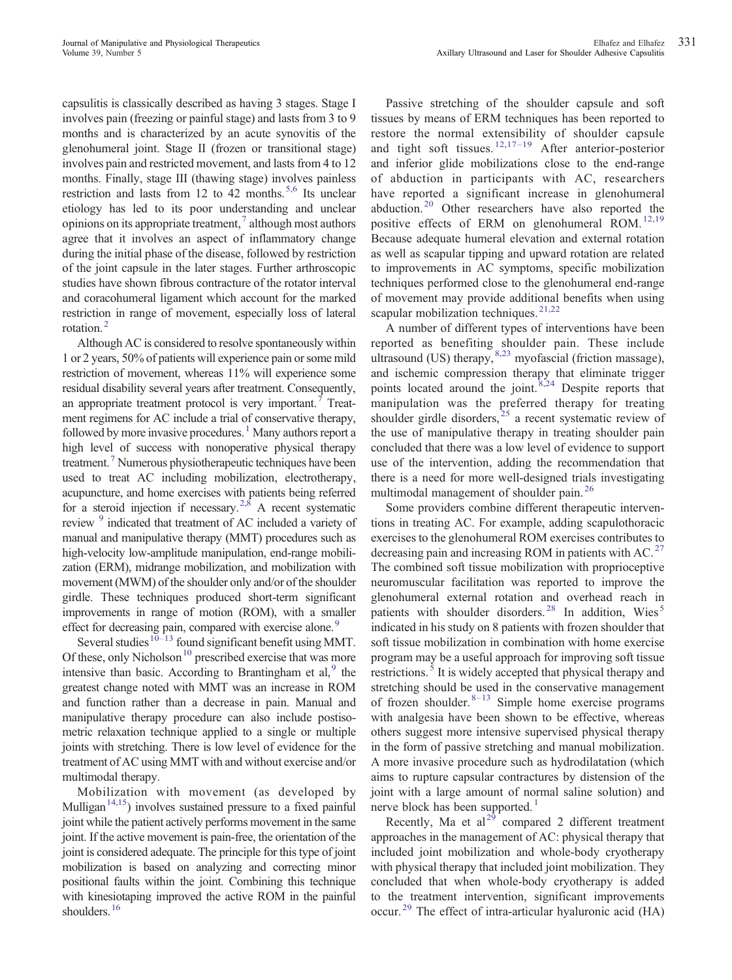capsulitis is classically described as having 3 stages. Stage I involves pain (freezing or painful stage) and lasts from 3 to 9 months and is characterized by an acute synovitis of the glenohumeral joint. Stage II (frozen or transitional stage) involves pain and restricted movement, and lasts from 4 to 12 months. Finally, stage III (thawing stage) involves painless restriction and lasts from 12 to 42 months[.](#page-7-0)<sup>[5,6](#page-7-0)</sup> Its unclear etiology has led to its poor understanding and unclear opinions on its appropriate treatment[,](#page-7-0) $\frac{7}{7}$  $\frac{7}{7}$  $\frac{7}{7}$  although most authors agree that it involves an aspect of inflammatory change during the initial phase of the disease, followed by restriction of the joint capsule in the later stages. Further arthroscopic studies have shown fibrous contracture of the rotator interval and coracohumeral ligament which account for the marked restriction in range of movement, especially loss of lateral rotation[.](#page-7-0)<sup>[2](#page-7-0)</sup>

Although AC is considered to resolve spontaneously within 1 or 2 years, 50% of patients will experience pain or some mild restriction of movement, whereas 11% will experience some residual disability several years after treatment. Consequently, an appropriate treatment protocol is very important[.](#page-7-0)<sup>[7](#page-7-0)</sup> Treatment regimens for AC include a trial of conservative therapy, followed by more invasive procedures[.](#page-7-0)<sup>[1](#page-7-0)</sup> Many authors report a high level of success with nonoperative physical therapy treatment[.](#page-7-0)<sup>[7](#page-7-0)</sup> Numerous physiotherapeutic techniques have been used to treat AC including mobilization, electrotherapy, acupuncture, and home exercises with patients being referred for a steroid injection if necessary[.](#page-7-0)<sup>[2,8](#page-7-0)</sup> A recent systematic review <sup>[9](#page-7-0)</sup> indicated that treatment of AC included a variety of manual and manipulative therapy (MMT) procedures such as high-velocity low-amplitude manipulation, end-range mobilization (ERM), midrange mobilization, and mobilization with movement (MWM) of the shoulder only and/or of the shoulder girdle. These techniques produced short-term significant improvements in range of motion (ROM), with a smaller effect for decreasing pain, compared with exercise alone[.](#page-7-0)<sup>[9](#page-7-0)</sup>

Several [s](#page-7-0)tudies<sup>[10](#page-7-0)–13</sup> found significant benefit using MMT. Of these, o[n](#page-7-0)ly Nicholson<sup>[10](#page-7-0)</sup> prescribed exercise that was more intensive than basic. According to Brantingham et al[,](#page-7-0) $9$  the greatest change noted with MMT was an increase in ROM and function rather than a decrease in pain. Manual and manipulative therapy procedure can also include postisometric relaxation technique applied to a single or multiple joints with stretching. There is low level of evidence for the treatment of AC using MMT with and without exercise and/or multimodal therapy.

Mobilization with movement (as developed by Mulliga[n](#page-7-0)<sup>[14,15](#page-7-0)</sup>) involves sustained pressure to a fixed painful joint while the patient actively performs movement in the same joint. If the active movement is pain-free, the orientation of the joint is considered adequate. The principle for this type of joint mobilization is based on analyzing and correcting minor positional faults within the joint. Combining this technique with kinesiotaping improved the active ROM in the painful shoulders[.](#page-7-0)<sup>[16](#page-7-0)</sup>

Passive stretching of the shoulder capsule and soft tissues by means of ERM techniques has been reported to restore the normal extensibility of shoulder capsule and tight soft tissues[.](#page-7-0)  $12,17-19$  $12,17-19$  After anterior-posterior and inferior glide mobilizations close to the end-range of abduction in participants with AC, researchers have reported a significant increase in glenohumeral abduction[.](#page-8-0)[20](#page-8-0) Other researchers have also reported the positive effects of ERM on glenohumeral ROM[.](#page-7-0)<sup>[12,19](#page-7-0)</sup> Because adequate humeral elevation and external rotation as well as scapular tipping and upward rotation are related to improvements in AC symptoms, specific mobilization techniques performed close to the glenohumeral end-range of movement may provide additional benefits when using scapular mobilization techniques[.](#page-8-0)<sup>[21,22](#page-8-0)</sup>

A number of different types of interventions have been reported as benefiting shoulder pain. These include ultrasound (US) therapy[,](#page-7-0) [8,23](#page-7-0) myofascial (friction massage), and ischemic compression therapy that eliminate trigger points located around the joint[.](#page-7-0) $8,24$  Despite reports that manipulation was the preferred therapy for treating shoulder girdle disorders[,](#page-8-0)  $25$  a recent systematic review of the use of manipulative therapy in treating shoulder pain concluded that there was a low level of evidence to support use of the intervention, adding the recommendation that there is a need for more well-designed trials investigating multimodal management of shoulder pain[.](#page-8-0)<sup>[26](#page-8-0)</sup>

Some providers combine different therapeutic interventions in treating AC. For example, adding scapulothoracic exercises to the glenohumeral ROM exercises contributes to decreasing pain and increasing ROM in patients with AC[.](#page-8-0) $^{27}$  $^{27}$  $^{27}$ The combined soft tissue mobilization with proprioceptive neuromuscular facilitation was reported to improve the glenohumeral external rotation and overhead reach in patients with shoulder disorders[.](#page-8-0)<sup>[28](#page-8-0)</[s](#page-7-0)up> In addition, Wies<sup>[5](#page-7-0)</sup> indicated in his study on 8 patients with frozen shoulder that soft tissue mobilization in combination with home exercise program may be a useful approach for improving soft tissue restrictions[.](#page-7-0)<sup>[5](#page-7-0)</sup> It is widely accepted that physical therapy and stretching should be used in the conservative management of frozen shoulder[.](#page-7-0) $8-13$  $8-13$  Simple home exercise programs with analgesia have been shown to be effective, whereas others suggest more intensive supervised physical therapy in the form of passive stretching and manual mobilization. A more invasive procedure such as hydrodilatation (which aims to rupture capsular contractures by distension of the joint with a large amount of normal saline solution) and nerve block has been supported[.](#page-7-0)<sup>[1](#page-7-0)</sup>

Recent[l](#page-8-0)y, Ma et  $al^{29}$  $al^{29}$  $al^{29}$  compared 2 different treatment approaches in the management of AC: physical therapy that included joint mobilization and whole-body cryotherapy with physical therapy that included joint mobilization. They concluded that when whole-body cryotherapy is added to the treatment intervention, significant improvements occur[.](#page-8-0)<sup>[29](#page-8-0)</sup> The effect of intra-articular hyaluronic acid (HA)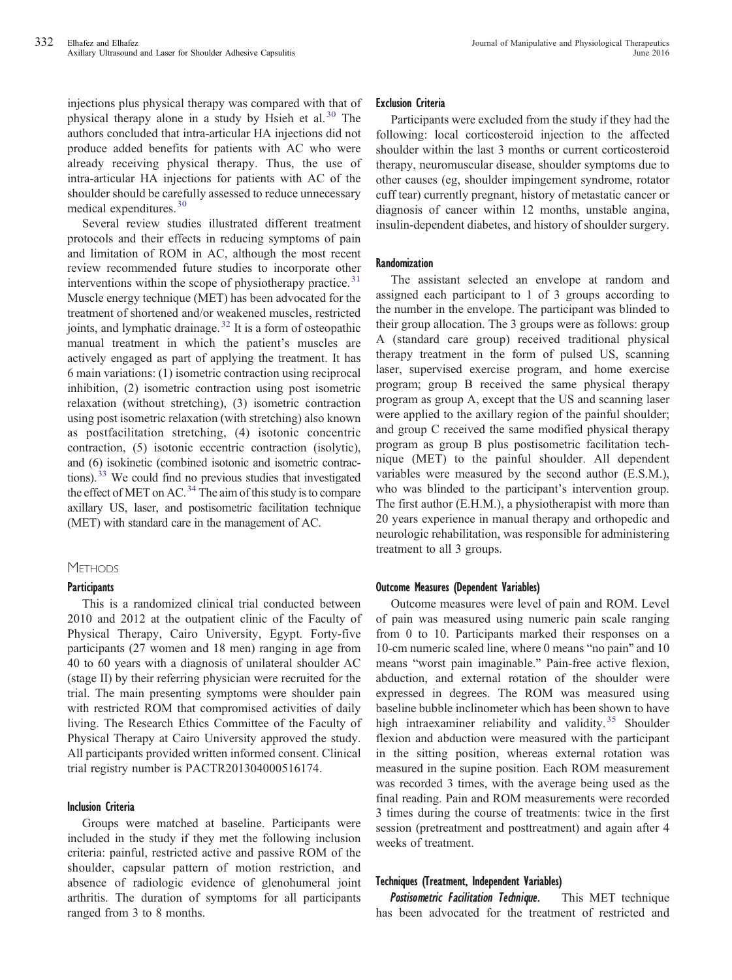injections plus physical therapy was compared with that of physical therapy alone in a study by Hsieh et al[.](#page-8-0)<sup>[30](#page-8-0)</sup> The authors concluded that intra-articular HA injections did not produce added benefits for patients with AC who were already receiving physical therapy. Thus, the use of intra-articular HA injections for patients with AC of the shoulder should be carefully assessed to reduce unnecessary medical expenditures[.](#page-8-0) [30](#page-8-0)

Several review studies illustrated different treatment protocols and their effects in reducing symptoms of pain and limitation of ROM in AC, although the most recent review recommended future studies to incorporate other interventions within the scope of physiotherapy practice[.](#page-8-0)<sup>[31](#page-8-0)</sup> Muscle energy technique (MET) has been advocated for the treatment of shortened and/or weakened muscles, restricted joints, and lymphatic drainage[.](#page-8-0) [32](#page-8-0) It is a form of osteopathic manual treatment in which the patient's muscles are actively engaged as part of applying the treatment. It has 6 main variations: (1) isometric contraction using reciprocal inhibition, (2) isometric contraction using post isometric relaxation (without stretching), (3) isometric contraction using post isometric relaxation (with stretching) also known as postfacilitation stretching, (4) isotonic concentric contraction, (5) isotonic eccentric contraction (isolytic), and (6) isokinetic (combined isotonic and isometric contrac-tions).<sup>[33](#page-8-0)</sup> We could find no previous studies that investigated the effect of MET on AC[.](#page-8-0)<sup>[34](#page-8-0)</sup> The aim of this study is to compare axillary US, laser, and postisometric facilitation technique (MET) with standard care in the management of AC.

## **METHODS**

## **Participants**

This is a randomized clinical trial conducted between 2010 and 2012 at the outpatient clinic of the Faculty of Physical Therapy, Cairo University, Egypt. Forty-five participants (27 women and 18 men) ranging in age from 40 to 60 years with a diagnosis of unilateral shoulder AC (stage II) by their referring physician were recruited for the trial. The main presenting symptoms were shoulder pain with restricted ROM that compromised activities of daily living. The Research Ethics Committee of the Faculty of Physical Therapy at Cairo University approved the study. All participants provided written informed consent. Clinical trial registry number is PACTR201304000516174.

## Inclusion Criteria

Groups were matched at baseline. Participants were included in the study if they met the following inclusion criteria: painful, restricted active and passive ROM of the shoulder, capsular pattern of motion restriction, and absence of radiologic evidence of glenohumeral joint arthritis. The duration of symptoms for all participants ranged from 3 to 8 months.

#### Exclusion Criteria

Participants were excluded from the study if they had the following: local corticosteroid injection to the affected shoulder within the last 3 months or current corticosteroid therapy, neuromuscular disease, shoulder symptoms due to other causes (eg, shoulder impingement syndrome, rotator cuff tear) currently pregnant, history of metastatic cancer or diagnosis of cancer within 12 months, unstable angina, insulin-dependent diabetes, and history of shoulder surgery.

#### Randomization

The assistant selected an envelope at random and assigned each participant to 1 of 3 groups according to the number in the envelope. The participant was blinded to their group allocation. The 3 groups were as follows: group A (standard care group) received traditional physical therapy treatment in the form of pulsed US, scanning laser, supervised exercise program, and home exercise program; group B received the same physical therapy program as group A, except that the US and scanning laser were applied to the axillary region of the painful shoulder; and group C received the same modified physical therapy program as group B plus postisometric facilitation technique (MET) to the painful shoulder. All dependent variables were measured by the second author (E.S.M.), who was blinded to the participant's intervention group. The first author (E.H.M.), a physiotherapist with more than 20 years experience in manual therapy and orthopedic and neurologic rehabilitation, was responsible for administering treatment to all 3 groups.

#### Outcome Measures (Dependent Variables)

Outcome measures were level of pain and ROM. Level of pain was measured using numeric pain scale ranging from 0 to 10. Participants marked their responses on a 10-cm numeric scaled line, where 0 means "no pain" and 10 means "worst pain imaginable." Pain-free active flexion, abduction, and external rotation of the shoulder were expressed in degrees. The ROM was measured using baseline bubble inclinometer which has been shown to have high intraexaminer reliability and validity[.](#page-8-0)<sup>[35](#page-8-0)</sup> Shoulder flexion and abduction were measured with the participant in the sitting position, whereas external rotation was measured in the supine position. Each ROM measurement was recorded 3 times, with the average being used as the final reading. Pain and ROM measurements were recorded 3 times during the course of treatments: twice in the first session (pretreatment and posttreatment) and again after 4 weeks of treatment.

## Techniques (Treatment, Independent Variables)

Postisometric Facilitation Technique. This MET technique has been advocated for the treatment of restricted and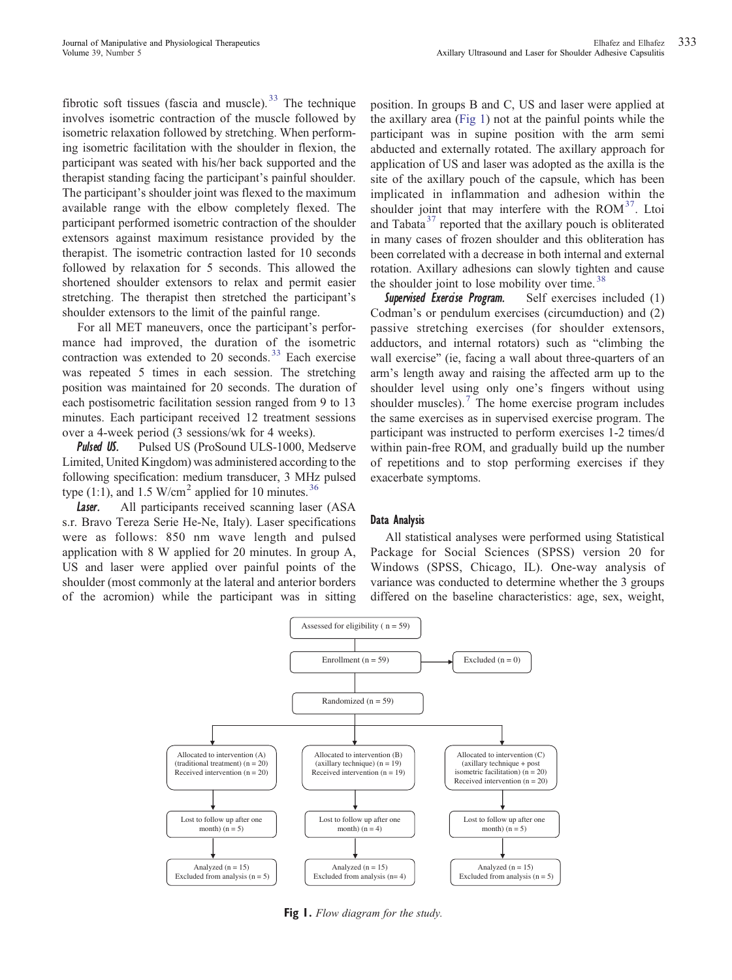fibrotic soft tissues (fascia and muscle)[.](#page-8-0)  $33$  The technique involves isometric contraction of the muscle followed by isometric relaxation followed by stretching. When performing isometric facilitation with the shoulder in flexion, the participant was seated with his/her back supported and the therapist standing facing the participant's painful shoulder. The participant's shoulder joint was flexed to the maximum available range with the elbow completely flexed. The participant performed isometric contraction of the shoulder extensors against maximum resistance provided by the therapist. The isometric contraction lasted for 10 seconds followed by relaxation for 5 seconds. This allowed the shortened shoulder extensors to relax and permit easier stretching. The therapist then stretched the participant's shoulder extensors to the limit of the painful range.

For all MET maneuvers, once the participant's performance had improved, the duration of the isometric contraction was extended to 20 seconds[.](#page-8-0) $33$  Each exercise was repeated 5 times in each session. The stretching position was maintained for 20 seconds. The duration of each postisometric facilitation session ranged from 9 to 13 minutes. Each participant received 12 treatment sessions over a 4-week period (3 sessions/wk for 4 weeks).

**Pulsed US.** Pulsed US (ProSound ULS-1000, Medserve Limited, United Kingdom) was administered according to the following specification: medium transducer, 3 MHz pulsed type (1:1), and 1[.](#page-8-0)5 W/cm<sup>2</sup> applied for 10 minutes.<sup>[36](#page-8-0)</sup>

Laser. All participants received scanning laser (ASA s.r. Bravo Tereza Serie He-Ne, Italy). Laser specifications were as follows: 850 nm wave length and pulsed application with 8 W applied for 20 minutes. In group A, US and laser were applied over painful points of the shoulder (most commonly at the lateral and anterior borders of the acromion) while the participant was in sitting position. In groups B and C, US and laser were applied at the axillary area (Fig 1) not at the painful points while the participant was in supine position with the arm semi abducted and externally rotated. The axillary approach for application of US and laser was adopted as the axilla is the site of the axillary pouch of the capsule, which has been implicated in inflammation and adhesion within the shoulder joint that may interfere with the  $ROM^{37}$  $ROM^{37}$  $ROM^{37}$ . Ltoi [a](#page-8-0)nd Tabata<sup>[37](#page-8-0)</sup> reported that the axillary pouch is obliterated in many cases of frozen shoulder and this obliteration has been correlated with a decrease in both internal and external rotation. Axillary adhesions can slowly tighten and cause the shoulder joint to lose mobility over time[.](#page-8-0)<sup>[38](#page-8-0)</sup>

Supervised Exercise Program. Self exercises included (1) Codman's or pendulum exercises (circumduction) and (2) passive stretching exercises (for shoulder extensors, adductors, and internal rotators) such as "climbing the wall exercise" (ie, facing a wall about three-quarters of an arm's length away and raising the affected arm up to the shoulder level using only one's fingers without using shoulder muscles)[.](#page-7-0)<sup>[7](#page-7-0)</sup> The home exercise program includes the same exercises as in supervised exercise program. The participant was instructed to perform exercises 1-2 times/d within pain-free ROM, and gradually build up the number of repetitions and to stop performing exercises if they exacerbate symptoms.

## Data Analysis

All statistical analyses were performed using Statistical Package for Social Sciences (SPSS) version 20 for Windows (SPSS, Chicago, IL). One-way analysis of variance was conducted to determine whether the 3 groups differed on the baseline characteristics: age, sex, weight,



**Fig 1.** Flow diagram for the study.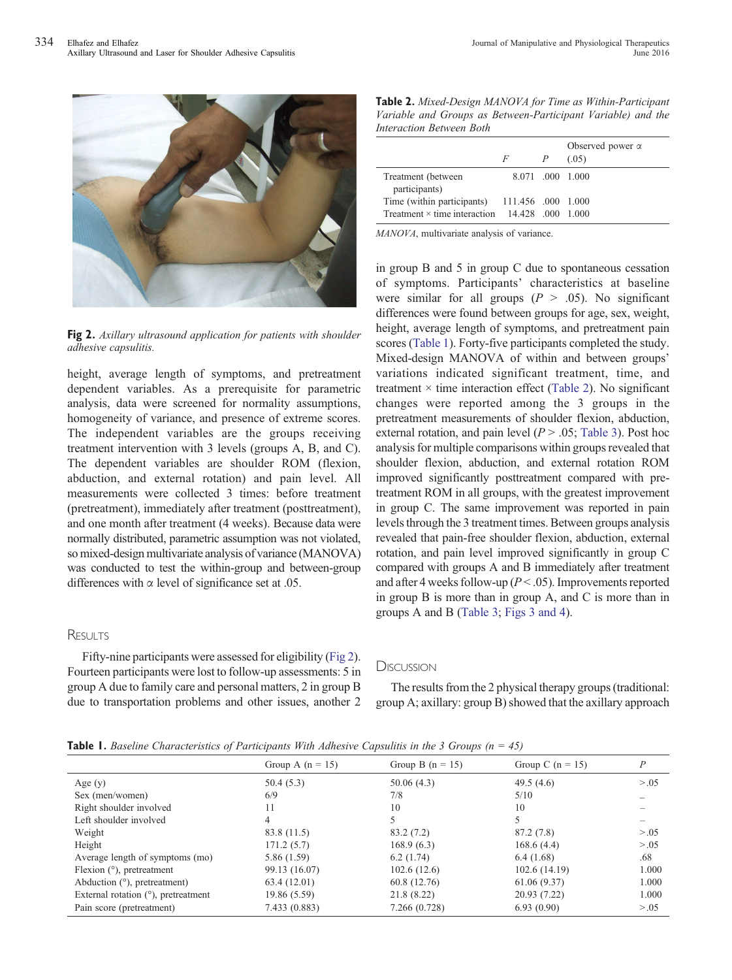

Fig 2. Axillary ultrasound application for patients with shoulder adhesive capsulitis.

height, average length of symptoms, and pretreatment dependent variables. As a prerequisite for parametric analysis, data were screened for normality assumptions, homogeneity of variance, and presence of extreme scores. The independent variables are the groups receiving treatment intervention with 3 levels (groups A, B, and C). The dependent variables are shoulder ROM (flexion, abduction, and external rotation) and pain level. All measurements were collected 3 times: before treatment (pretreatment), immediately after treatment (posttreatment), and one month after treatment (4 weeks). Because data were normally distributed, parametric assumption was not violated, so mixed-design multivariate analysis of variance (MANOVA) was conducted to test the within-group and between-group differences with  $\alpha$  level of significance set at .05.

## **RESULTS**

Fifty-nine participants were assessed for eligibility (Fig 2). Fourteen participants were lost to follow-up assessments: 5 in group A due to family care and personal matters, 2 in group B due to transportation problems and other issues, another 2

Table 2. Mixed-Design MANOVA for Time as Within-Participant Variable and Groups as Between-Participant Variable) and the Interaction Between Both

|                                                       | F                  | P | Observed power $\alpha$<br>(.05) |
|-------------------------------------------------------|--------------------|---|----------------------------------|
| Treatment (between)<br>participants)                  |                    |   | 8.071 .000 1.000                 |
| Time (within participants)                            | 111.456 .000 1.000 |   |                                  |
| Treatment $\times$ time interaction 14.428 .000 1.000 |                    |   |                                  |

MANOVA, multivariate analysis of variance.

in group B and 5 in group C due to spontaneous cessation of symptoms. Participants' characteristics at baseline were similar for all groups ( $P > .05$ ). No significant differences were found between groups for age, sex, weight, height, average length of symptoms, and pretreatment pain scores (Table 1). Forty-five participants completed the study. Mixed-design MANOVA of within and between groups' variations indicated significant treatment, time, and treatment  $\times$  time interaction effect (Table 2). No significant changes were reported among the 3 groups in the pretreatment measurements of shoulder flexion, abduction, external rotation, and pain level ( $P > .05$ ; [Table 3\)](#page-5-0). Post hoc analysis for multiple comparisons within groups revealed that shoulder flexion, abduction, and external rotation ROM improved significantly posttreatment compared with pretreatment ROM in all groups, with the greatest improvement in group C. The same improvement was reported in pain levels through the 3 treatment times. Between groups analysis revealed that pain-free shoulder flexion, abduction, external rotation, and pain level improved significantly in group C compared with groups A and B immediately after treatment and after 4 weeks follow-up ( $P < .05$ ). Improvements reported in group B is more than in group A, and C is more than in groups A and B ([Table 3](#page-5-0); [Figs 3 and 4](#page-5-0)).

## **DISCUSSION**

The results from the 2 physical therapy groups (traditional: group A; axillary: group B) showed that the axillary approach

|  |  | <b>Table 1.</b> Baseline Characteristics of Participants With Adhesive Capsulitis in the 3 Groups $(n = 45)$ |  |  |  |  |  |  |  |  |  |
|--|--|--------------------------------------------------------------------------------------------------------------|--|--|--|--|--|--|--|--|--|
|--|--|--------------------------------------------------------------------------------------------------------------|--|--|--|--|--|--|--|--|--|

|                                        | Group A $(n = 15)$ | Group B $(n = 15)$ | Group C $(n = 15)$ | Р      |
|----------------------------------------|--------------------|--------------------|--------------------|--------|
| Age $(y)$                              | 50.4(5.3)          | 50.06(4.3)         | 49.5 $(4.6)$       | > 0.05 |
| Sex (men/women)                        | 6/9                | 7/8                | 5/10               |        |
| Right shoulder involved                | 11                 | 10                 | 10                 |        |
| Left shoulder involved                 | 4                  | 5                  | 5                  |        |
| Weight                                 | 83.8 (11.5)        | 83.2 (7.2)         | 87.2 (7.8)         | > 0.05 |
| Height                                 | 171.2(5.7)         | 168.9(6.3)         | 168.6(4.4)         | > 0.05 |
| Average length of symptoms (mo)        | 5.86 (1.59)        | 6.2(1.74)          | 6.4(1.68)          | .68    |
| Flexion $(°)$ , pretreatment           | 99.13 (16.07)      | 102.6(12.6)        | 102.6(14.19)       | 1.000  |
| Abduction $(°)$ , pretreatment)        | 63.4 (12.01)       | 60.8 (12.76)       | 61.06(9.37)        | 1.000  |
| External rotation $(°)$ , pretreatment | 19.86 (5.59)       | 21.8 (8.22)        | 20.93 (7.22)       | 1.000  |
| Pain score (pretreatment)              | 7.433 (0.883)      | 7.266 (0.728)      | 6.93(0.90)         | > 0.05 |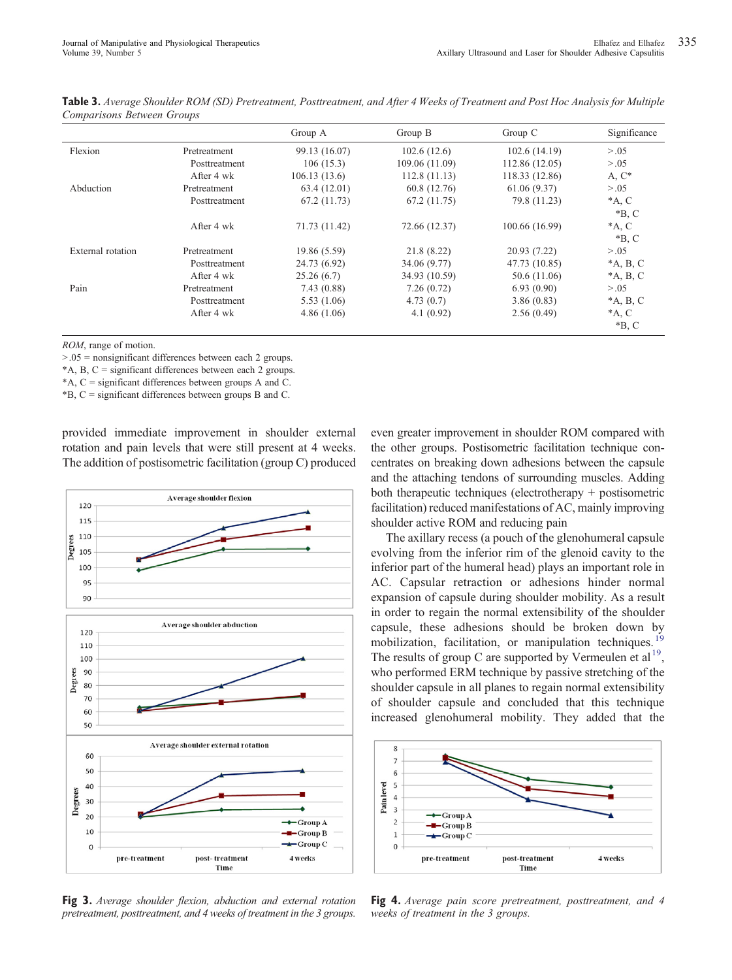|                   |               | Group A       | Group B        | Group $C$      | Significance       |
|-------------------|---------------|---------------|----------------|----------------|--------------------|
| Flexion           | Pretreatment  | 99.13 (16.07) | 102.6(12.6)    | 102.6(14.19)   | > 0.05             |
|                   | Posttreatment | 106(15.3)     | 109.06 (11.09) | 112.86 (12.05) | > 0.05             |
|                   | After 4 wk    | 106.13(13.6)  | 112.8(11.13)   | 118.33 (12.86) | A, $C^*$           |
| Abduction         | Pretreatment  | 63.4 (12.01)  | 60.8 (12.76)   | 61.06(9.37)    | > 0.05             |
|                   | Posttreatment | 67.2 (11.73)  | 67.2(11.75)    | 79.8 (11.23)   | $*A, C$<br>$*B, C$ |
|                   | After 4 wk    | 71.73 (11.42) | 72.66 (12.37)  | 100.66 (16.99) | $*A, C$<br>$*B, C$ |
| External rotation | Pretreatment  | 19.86 (5.59)  | 21.8 (8.22)    | 20.93 (7.22)   | > 0.05             |
|                   | Posttreatment | 24.73 (6.92)  | 34.06 (9.77)   | 47.73 (10.85)  | $*A$ , B, C        |
|                   | After 4 wk    | 25.26(6.7)    | 34.93 (10.59)  | 50.6 (11.06)   | $^*A$ , B, C       |
| Pain              | Pretreatment  | 7.43(0.88)    | 7.26(0.72)     | 6.93(0.90)     | > 0.05             |
|                   | Posttreatment | 5.53(1.06)    | 4.73(0.7)      | 3.86(0.83)     | $*A$ , B, C        |
|                   | After 4 wk    | 4.86(1.06)    | 4.1(0.92)      | 2.56(0.49)     | $*A, C$<br>$*B, C$ |

<span id="page-5-0"></span>Table 3. Average Shoulder ROM (SD) Pretreatment, Posttreatment, and After 4 Weeks of Treatment and Post Hoc Analysis for Multiple Comparisons Between Groups

ROM, range of motion.

 $> 0.05$  = nonsignificant differences between each 2 groups.

\*A, B, C = significant differences between each 2 groups.

\*A, C = significant differences between groups A and C.

\*B, C = significant differences between groups B and C.

provided immediate improvement in shoulder external rotation and pain levels that were still present at 4 weeks. The addition of postisometric facilitation (group C) produced



Fig 3. Average shoulder flexion, abduction and external rotation pretreatment, posttreatment, and 4 weeks of treatment in the 3 groups. even greater improvement in shoulder ROM compared with the other groups. Postisometric facilitation technique concentrates on breaking down adhesions between the capsule and the attaching tendons of surrounding muscles. Adding both therapeutic techniques (electrotherapy + postisometric facilitation) reduced manifestations of AC, mainly improving shoulder active ROM and reducing pain

The axillary recess (a pouch of the glenohumeral capsule evolving from the inferior rim of the glenoid cavity to the inferior part of the humeral head) plays an important role in AC. Capsular retraction or adhesions hinder normal expansion of capsule during shoulder mobility. As a result in order to regain the normal extensibility of the shoulder capsule, these adhesions should be broken down by mobilization, facilitation, or manipulation techniques[.](#page-8-0)<sup>1</sup> The resu[l](#page-8-0)ts of group C are supported by Vermeulen et al<sup>19</sup>, who performed ERM technique by passive stretching of the shoulder capsule in all planes to regain normal extensibility of shoulder capsule and concluded that this technique increased glenohumeral mobility. They added that the



**Fig 4.** Average pain score pretreatment, posttreatment, and 4 weeks of treatment in the 3 groups.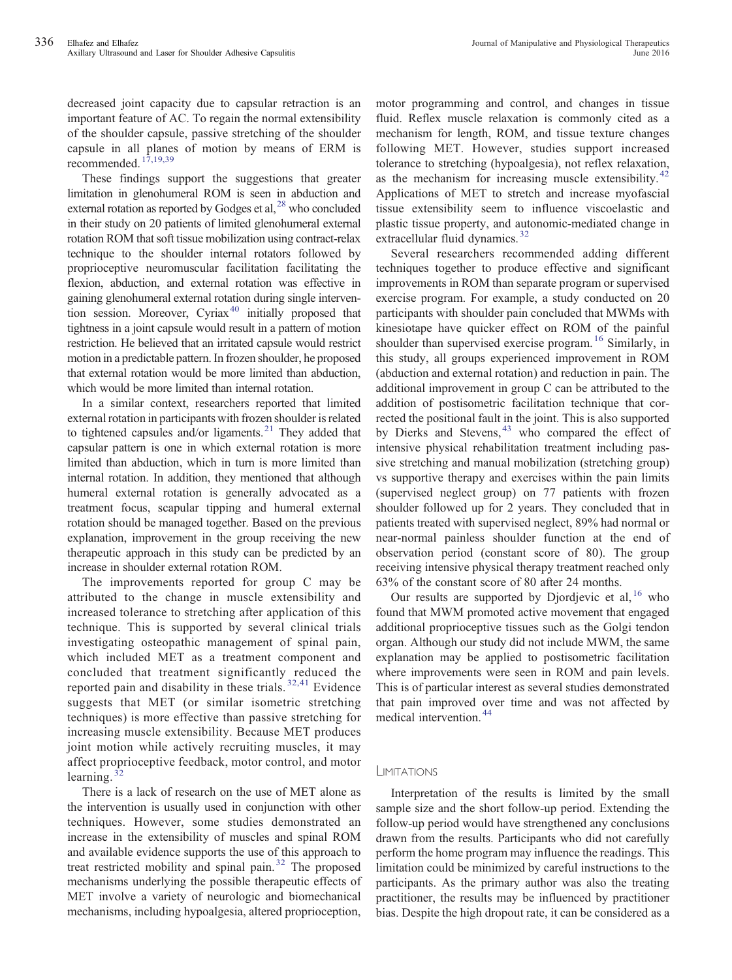decreased joint capacity due to capsular retraction is an important feature of AC. To regain the normal extensibility of the shoulder capsule, passive stretching of the shoulder capsule in all planes of motion by means of ERM is recommended[.](#page-8-0)<sup>[17,19,39](#page-8-0)</sup>

These findings support the suggestions that greater limitation in glenohumeral ROM is seen in abduction and external rotation as reported by Godges et al[,](#page-8-0)  $^{28}$  $^{28}$  $^{28}$  who concluded in their study on 20 patients of limited glenohumeral external rotation ROM that soft tissue mobilization using contract-relax technique to the shoulder internal rotators followed by proprioceptive neuromuscular facilitation facilitating the flexion, abduction, and external rotation was effective in gaining glenohumeral external rotation during single intervention session. Moreover, Cyria[x](#page-8-0)<sup>[40](#page-8-0)</sup> initially proposed that tightness in a joint capsule would result in a pattern of motion restriction. He believed that an irritated capsule would restrict motion in a predictable pattern. In frozen shoulder, he proposed that external rotation would be more limited than abduction, which would be more limited than internal rotation.

In a similar context, researchers reported that limited external rotation in participants with frozen shoulder is related to tightened capsules and/or ligaments[.](#page-8-0) $^{21}$  $^{21}$  $^{21}$  They added that capsular pattern is one in which external rotation is more limited than abduction, which in turn is more limited than internal rotation. In addition, they mentioned that although humeral external rotation is generally advocated as a treatment focus, scapular tipping and humeral external rotation should be managed together. Based on the previous explanation, improvement in the group receiving the new therapeutic approach in this study can be predicted by an increase in shoulder external rotation ROM.

The improvements reported for group C may be attributed to the change in muscle extensibility and increased tolerance to stretching after application of this technique. This is supported by several clinical trials investigating osteopathic management of spinal pain, which included MET as a treatment component and concluded that treatment significantly reduced the reported pain and disability in these trials[.](#page-8-0)<sup>[32,41](#page-8-0)</sup> Evidence suggests that MET (or similar isometric stretching techniques) is more effective than passive stretching for increasing muscle extensibility. Because MET produces joint motion while actively recruiting muscles, it may affect proprioceptive feedback, motor control, and motor learning[.](#page-8-0)<sup>[32](#page-8-0)</sup>

There is a lack of research on the use of MET alone as the intervention is usually used in conjunction with other techniques. However, some studies demonstrated an increase in the extensibility of muscles and spinal ROM and available evidence supports the use of this approach to treat restricted mobility and spinal pain[.](#page-8-0) $32$  The proposed mechanisms underlying the possible therapeutic effects of MET involve a variety of neurologic and biomechanical mechanisms, including hypoalgesia, altered proprioception,

motor programming and control, and changes in tissue fluid. Reflex muscle relaxation is commonly cited as a mechanism for length, ROM, and tissue texture changes following MET. However, studies support increased tolerance to stretching (hypoalgesia), not reflex relaxation, as the mechanism for increasing muscle extensibility[.](#page-8-0)<sup>[42](#page-8-0)</sup> Applications of MET to stretch and increase myofascial tissue extensibility seem to influence viscoelastic and plastic tissue property, and autonomic-mediated change in extracellular fluid dynamics[.](#page-8-0) $32$ 

Several researchers recommended adding different techniques together to produce effective and significant improvements in ROM than separate program or supervised exercise program. For example, a study conducted on 20 participants with shoulder pain concluded that MWMs with kinesiotape have quicker effect on ROM of the painful shoulder than supervised exercise program[.](#page-7-0)<sup>[16](#page-7-0)</sup> Similarly, in this study, all groups experienced improvement in ROM (abduction and external rotation) and reduction in pain. The additional improvement in group C can be attributed to the addition of postisometric facilitation technique that corrected the positional fault in the joint. This is also supported by Dierks and Stevens[,](#page-8-0) $43$  who compared the effect of intensive physical rehabilitation treatment including passive stretching and manual mobilization (stretching group) vs supportive therapy and exercises within the pain limits (supervised neglect group) on 77 patients with frozen shoulder followed up for 2 years. They concluded that in patients treated with supervised neglect, 89% had normal or near-normal painless shoulder function at the end of observation period (constant score of 80). The group receiving intensive physical therapy treatment reached only 63% of the constant score of 80 after 24 months.

Our results are supported by Djordjevic et al[,](#page-7-0)  $16$  who found that MWM promoted active movement that engaged additional proprioceptive tissues such as the Golgi tendon organ. Although our study did not include MWM, the same explanation may be applied to postisometric facilitation where improvements were seen in ROM and pain levels. This is of particular interest as several studies demonstrated that pain improved over time and was not affected by medical intervention[.](#page-8-0) [44](#page-8-0)

## **LIMITATIONS**

Interpretation of the results is limited by the small sample size and the short follow-up period. Extending the follow-up period would have strengthened any conclusions drawn from the results. Participants who did not carefully perform the home program may influence the readings. This limitation could be minimized by careful instructions to the participants. As the primary author was also the treating practitioner, the results may be influenced by practitioner bias. Despite the high dropout rate, it can be considered as a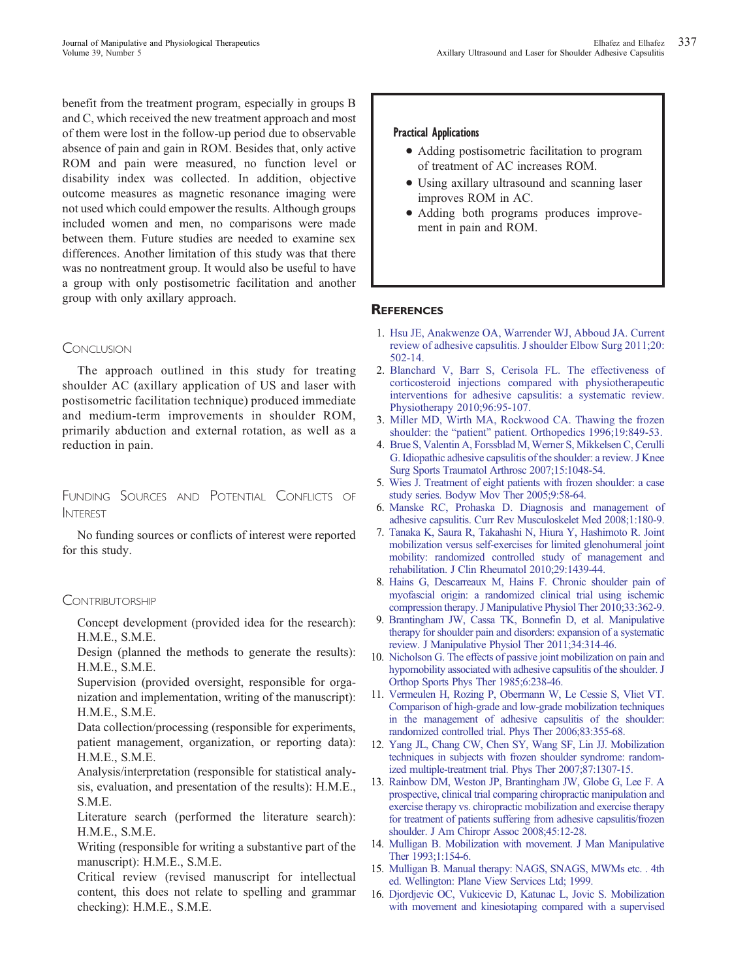<span id="page-7-0"></span>benefit from the treatment program, especially in groups B and C, which received the new treatment approach and most of them were lost in the follow-up period due to observable absence of pain and gain in ROM. Besides that, only active ROM and pain were measured, no function level or disability index was collected. In addition, objective outcome measures as magnetic resonance imaging were not used which could empower the results. Although groups included women and men, no comparisons were made between them. Future studies are needed to examine sex differences. Another limitation of this study was that there was no nontreatment group. It would also be useful to have a group with only postisometric facilitation and another group with only axillary approach.

## **CONCLUSION**

The approach outlined in this study for treating shoulder AC (axillary application of US and laser with postisometric facilitation technique) produced immediate and medium-term improvements in shoulder ROM, primarily abduction and external rotation, as well as a reduction in pain.

# FUNDING SOURCES AND POTENTIAL CONFLICTS OF INTEREST

No funding sources or conflicts of interest were reported for this study.

## **CONTRIBUTORSHIP**

Concept development (provided idea for the research): H.M.E., S.M.E.

Design (planned the methods to generate the results): H.M.E., S.M.E.

Supervision (provided oversight, responsible for organization and implementation, writing of the manuscript): H.M.E., S.M.E.

Data collection/processing (responsible for experiments, patient management, organization, or reporting data): H.M.E., S.M.E.

Analysis/interpretation (responsible for statistical analysis, evaluation, and presentation of the results): H.M.E., S.M.E.

Literature search (performed the literature search): H.M.E., S.M.E.

Writing (responsible for writing a substantive part of the manuscript): H.M.E., S.M.E.

Critical review (revised manuscript for intellectual content, this does not relate to spelling and grammar checking): H.M.E., S.M.E.

#### Practical Applications

- Adding postisometric facilitation to program of treatment of AC increases ROM.
- Using axillary ultrasound and scanning laser improves ROM in AC.
- Adding both programs produces improvement in pain and ROM.

## **REFERENCES**

- 1. [Hsu JE, Anakwenze OA, Warrender WJ, Abboud JA. Current](http://refhub.elsevier.com//rf0005) [review of adhesive capsulitis. J shoulder Elbow Surg 2011;20:](http://refhub.elsevier.com//rf0005) [502-14.](http://refhub.elsevier.com//rf0005)
- [2.](http://refhub.elsevier.com//rf0005) [Blanchard V, Barr S, Cerisola FL. The effectiveness of](http://refhub.elsevier.com//rf0010) [corticosteroid injections compared with physiotherapeutic](http://refhub.elsevier.com//rf0010) [interventions for adhesive capsulitis: a systematic review.](http://refhub.elsevier.com//rf0010) [Physiotherapy 2010;96:95-107.](http://refhub.elsevier.com//rf0010)
- [3.](http://refhub.elsevier.com//rf0010) [Miller MD, Wirth MA, Rockwood CA. Thawing the frozen](http://refhub.elsevier.com//rf0015) shoulder: the "patient" [patient. Orthopedics 1996;19:849-53.](http://refhub.elsevier.com//rf0015)
- [4.](http://refhub.elsevier.com//rf0015) [Brue S, Valentin A, Forssblad M, Werner S, Mikkelsen C, Cerulli](http://refhub.elsevier.com//rf0020) [G. Idiopathic adhesive capsulitis of the shoulder: a review. J Knee](http://refhub.elsevier.com//rf0020) [Surg Sports Traumatol Arthrosc 2007;15:1048-54.](http://refhub.elsevier.com//rf0020)
- [5.](http://refhub.elsevier.com//rf0020) [Wies J. Treatment of eight patients with frozen shoulder: a case](http://refhub.elsevier.com//rf0025) [study series. Bodyw Mov Ther 2005;9:58-64.](http://refhub.elsevier.com//rf0025)
- [6.](http://refhub.elsevier.com//rf0025) [Manske RC, Prohaska D. Diagnosis and management of](http://refhub.elsevier.com//rf0030) [adhesive capsulitis. Curr Rev Musculoskelet Med 2008;1:180-9.](http://refhub.elsevier.com//rf0030)
- [7.](http://refhub.elsevier.com//rf0030) [Tanaka K, Saura R, Takahashi N, Hiura Y, Hashimoto R. Joint](http://refhub.elsevier.com//rf0035) [mobilization versus self-exercises for limited glenohumeral joint](http://refhub.elsevier.com//rf0035) [mobility: randomized controlled study of management and](http://refhub.elsevier.com//rf0035) [rehabilitation. J Clin Rheumatol 2010;29:1439-44.](http://refhub.elsevier.com//rf0035)
- [8.](http://refhub.elsevier.com//rf0035) [Hains G, Descarreaux M, Hains F. Chronic shoulder pain of](http://refhub.elsevier.com//rf0040) [myofascial origin: a randomized clinical trial using ischemic](http://refhub.elsevier.com//rf0040) [compression therapy. J Manipulative Physiol Ther 2010;33:362-9.](http://refhub.elsevier.com//rf0040)
- [9.](http://refhub.elsevier.com//rf0040) [Brantingham JW, Cassa TK, Bonnefin D, et al. Manipulative](http://refhub.elsevier.com//rf0045) [therapy for shoulder pain and disorders: expansion of a systematic](http://refhub.elsevier.com//rf0045) [review. J Manipulative Physiol Ther 2011;34:314-46.](http://refhub.elsevier.com//rf0045)
- [10.](http://refhub.elsevier.com//rf0045) [Nicholson G. The effects of passive joint mobilization on pain and](http://refhub.elsevier.com//rf0050) [hypomobility associated with adhesive capsulitis of the shoulder. J](http://refhub.elsevier.com//rf0050) [Orthop Sports Phys Ther 1985;6:238-46.](http://refhub.elsevier.com//rf0050)
- [11.](http://refhub.elsevier.com//rf0050) [Vermeulen H, Rozing P, Obermann W, Le Cessie S, Vliet VT.](http://refhub.elsevier.com//rf0055) [Comparison of high-grade and low-grade mobilization techniques](http://refhub.elsevier.com//rf0055) [in the management of adhesive capsulitis of the shoulder:](http://refhub.elsevier.com//rf0055) [randomized controlled trial. Phys Ther 2006;83:355-68.](http://refhub.elsevier.com//rf0055)
- [12.](http://refhub.elsevier.com//rf0055) [Yang JL, Chang CW, Chen SY, Wang SF, Lin JJ. Mobilization](http://refhub.elsevier.com//rf0060) [techniques in subjects with frozen shoulder syndrome: random](http://refhub.elsevier.com//rf0060)[ized multiple-treatment trial. Phys Ther 2007;87:1307-15.](http://refhub.elsevier.com//rf0060)
- [13.](http://refhub.elsevier.com//rf0060) [Rainbow DM, Weston JP, Brantingham JW, Globe G, Lee F. A](http://refhub.elsevier.com//rf0065) [prospective, clinical trial comparing chiropractic manipulation and](http://refhub.elsevier.com//rf0065) [exercise therapy vs. chiropractic mobilization and exercise therapy](http://refhub.elsevier.com//rf0065) [for treatment of patients suffering from adhesive capsulitis/frozen](http://refhub.elsevier.com//rf0065) [shoulder. J Am Chiropr Assoc 2008;45:12-28.](http://refhub.elsevier.com//rf0065)
- [14.](http://refhub.elsevier.com//rf0065) [Mulligan B. Mobilization with movement. J Man Manipulative](http://refhub.elsevier.com//rf0070) [Ther 1993;1:154-6.](http://refhub.elsevier.com//rf0070)
- [15.](http://refhub.elsevier.com//rf0070) [Mulligan B. Manual therapy: NAGS, SNAGS, MWMs etc. . 4th](http://refhub.elsevier.com//rf0075) [ed. Wellington: Plane View Services Ltd; 1999.](http://refhub.elsevier.com//rf0075)
- [16.](http://refhub.elsevier.com//rf0075) [Djordjevic OC, Vukicevic D, Katunac L, Jovic S. Mobilization](http://refhub.elsevier.com//rf0080) [with movement and kinesiotaping compared with a supervised](http://refhub.elsevier.com//rf0080)